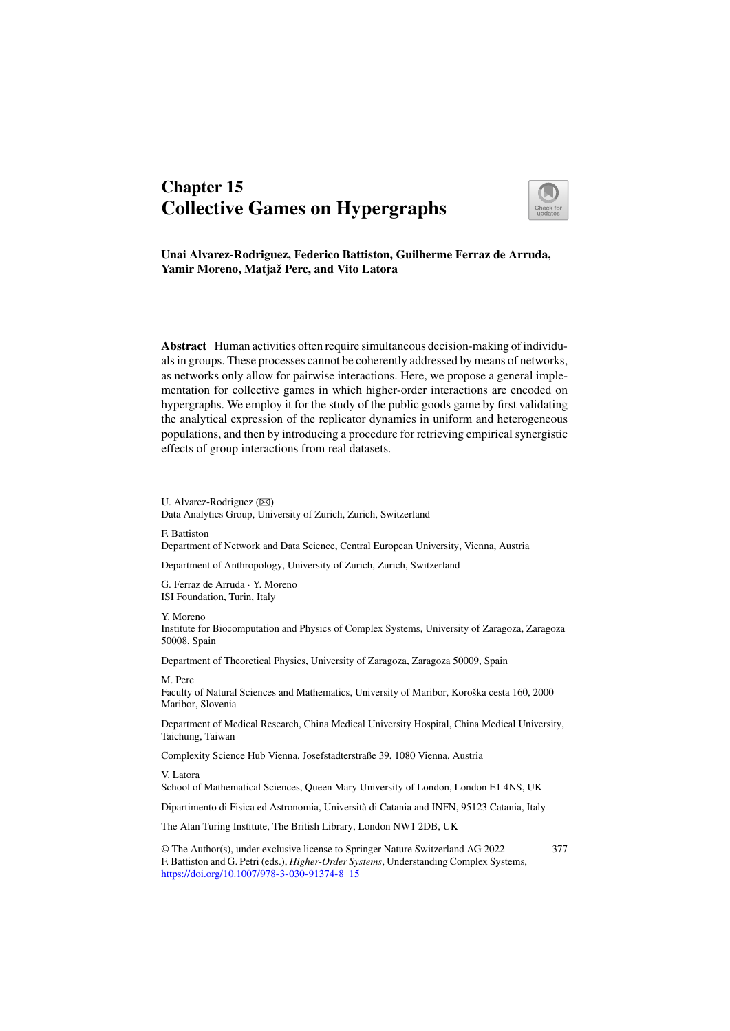# Chapter 15 Collective Games on Hypergraphs



Unai Alvarez-Rodriguez, Federico Battiston, Guilherme Ferraz de Arruda, Yamir Moreno, Matjaž Perc, and Vito Latora

Abstract Human activities often require simultaneous decision-making of individuals in groups. These processes cannot be coherently addressed by means of networks, as networks only allow for pairwise interactions. Here, we propose a general implementation for collective games in which higher-order interactions are encoded on hypergraphs. We employ it for the study of the public goods game by first validating the analytical expression of the replicator dynamics in uniform and heterogeneous populations, and then by introducing a procedure for retrieving empirical synergistic effects of group interactions from real datasets.

U. Alvarez-Rodriguez  $(\boxtimes)$ 

Data Analytics Group, University of Zurich, Zurich, Switzerland

F. Battiston Department of Network and Data Science, Central European University, Vienna, Austria

Department of Anthropology, University of Zurich, Zurich, Switzerland

G. Ferraz de Arruda · Y. Moreno ISI Foundation, Turin, Italy

Y. Moreno

Institute for Biocomputation and Physics of Complex Systems, University of Zaragoza, Zaragoza 50008, Spain

Department of Theoretical Physics, University of Zaragoza, Zaragoza 50009, Spain

M. Perc

Faculty of Natural Sciences and Mathematics, University of Maribor, Koroška cesta 160, 2000 Maribor, Slovenia

Department of Medical Research, China Medical University Hospital, China Medical University, Taichung, Taiwan

Complexity Science Hub Vienna, Josefstädterstraße 39, 1080 Vienna, Austria

V. Latora

School of Mathematical Sciences, Queen Mary University of London, London E1 4NS, UK

Dipartimento di Fisica ed Astronomia, Università di Catania and INFN, 95123 Catania, Italy

The Alan Turing Institute, The British Library, London NW1 2DB, UK

© The Author(s), under exclusive license to Springer Nature Switzerland AG 2022 F. Battiston and G. Petri (eds.), *Higher-Order Systems*, Understanding Complex Systems, https://doi.org/10.1007/978-3-030-91374-8\_15 377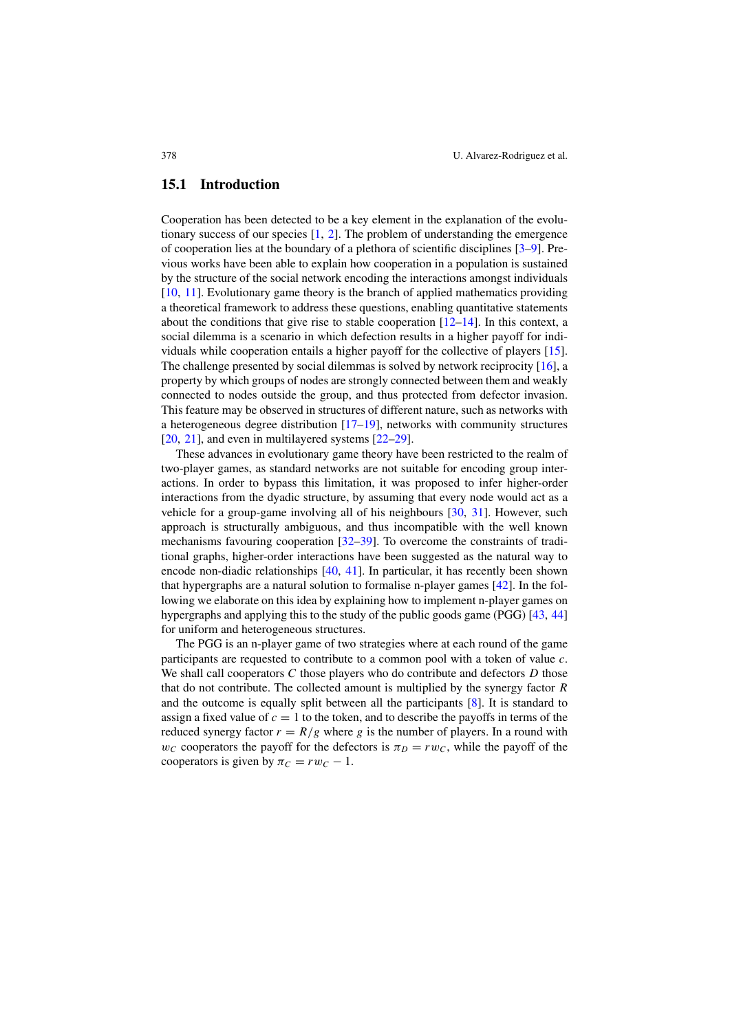#### 15.1 Introduction

Cooperation has been detected to be a key element in the explanation of the evolutionary success of our species [1, 2]. The problem of understanding the emergence of cooperation lies at the boundary of a plethora of scientific disciplines [3–9]. Previous works have been able to explain how cooperation in a population is sustained by the structure of the social network encoding the interactions amongst individuals [10, 11]. Evolutionary game theory is the branch of applied mathematics providing a theoretical framework to address these questions, enabling quantitative statements about the conditions that give rise to stable cooperation  $[12-14]$ . In this context, a social dilemma is a scenario in which defection results in a higher payoff for individuals while cooperation entails a higher payoff for the collective of players [15]. The challenge presented by social dilemmas is solved by network reciprocity [16], a property by which groups of nodes are strongly connected between them and weakly connected to nodes outside the group, and thus protected from defector invasion. This feature may be observed in structures of different nature, such as networks with a heterogeneous degree distribution  $[17–19]$ , networks with community structures [20, 21], and even in multilayered systems [22–29].

These advances in evolutionary game theory have been restricted to the realm of two-player games, as standard networks are not suitable for encoding group interactions. In order to bypass this limitation, it was proposed to infer higher-order interactions from the dyadic structure, by assuming that every node would act as a vehicle for a group-game involving all of his neighbours [30, 31]. However, such approach is structurally ambiguous, and thus incompatible with the well known mechanisms favouring cooperation [32–39]. To overcome the constraints of traditional graphs, higher-order interactions have been suggested as the natural way to encode non-diadic relationships [40, 41]. In particular, it has recently been shown that hypergraphs are a natural solution to formalise n-player games [42]. In the following we elaborate on this idea by explaining how to implement n-player games on hypergraphs and applying this to the study of the public goods game (PGG) [43, 44] for uniform and heterogeneous structures.

The PGG is an n-player game of two strategies where at each round of the game participants are requested to contribute to a common pool with a token of value *c*. We shall call cooperators *C* those players who do contribute and defectors *D* those that do not contribute. The collected amount is multiplied by the synergy factor *R* and the outcome is equally split between all the participants [8]. It is standard to assign a fixed value of  $c = 1$  to the token, and to describe the payoffs in terms of the reduced synergy factor  $r = R/g$  where *g* is the number of players. In a round with  $w_C$  cooperators the payoff for the defectors is  $\pi_D = rw_C$ , while the payoff of the cooperators is given by  $\pi_C = rw_C-1$ .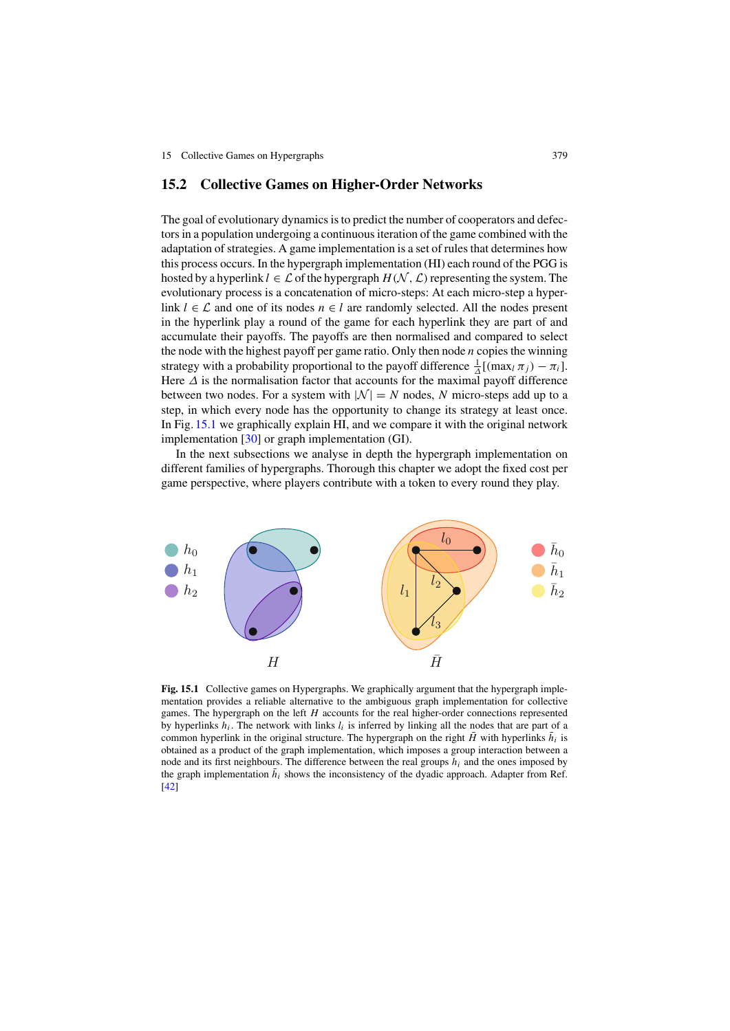#### 15.2 Collective Games on Higher-Order Networks

The goal of evolutionary dynamics is to predict the number of cooperators and defectors in a population undergoing a continuous iteration of the game combined with the adaptation of strategies. A game implementation is a set of rules that determines how this process occurs. In the hypergraph implementation (HI) each round of the PGG is hosted by a hyperlink  $l \in \mathcal{L}$  of the hypergraph  $H(\mathcal{N}, \mathcal{L})$  representing the system. The evolutionary process is a concatenation of micro-steps: At each micro-step a hyperlink  $l \in \mathcal{L}$  and one of its nodes  $n \in l$  are randomly selected. All the nodes present in the hyperlink play a round of the game for each hyperlink they are part of and accumulate their payoffs. The payoffs are then normalised and compared to select the node with the highest payoff per game ratio. Only then node *n* copies the winning strategy with a probability proportional to the payoff difference  $\frac{1}{\Delta}[(\max_l \pi_j) - \pi_i]$ . Here  $\Delta$  is the normalisation factor that accounts for the maximal payoff difference between two nodes. For a system with  $|N| = N$  nodes, N micro-steps add up to a step, in which every node has the opportunity to change its strategy at least once. In Fig. 15.1 we graphically explain HI, and we compare it with the original network implementation [30] or graph implementation (GI).

In the next subsections we analyse in depth the hypergraph implementation on different families of hypergraphs. Thorough this chapter we adopt the fixed cost per game perspective, where players contribute with a token to every round they play.



Fig. 15.1 Collective games on Hypergraphs. We graphically argument that the hypergraph implementation provides a reliable alternative to the ambiguous graph implementation for collective games. The hypergraph on the left *H* accounts for the real higher-order connections represented by hyperlinks  $h_i$ . The network with links  $l_i$  is inferred by linking all the nodes that are part of a common hyperlink in the original structure. The hypergraph on the right  $\tilde{H}$  with hyperlinks  $\tilde{h}_i$  is obtained as a product of the graph implementation, which imposes a group interaction between a node and its first neighbours. The difference between the real groups *hi* and the ones imposed by the graph implementation  $\bar{h}_i$  shows the inconsistency of the dyadic approach. Adapter from Ref. [42]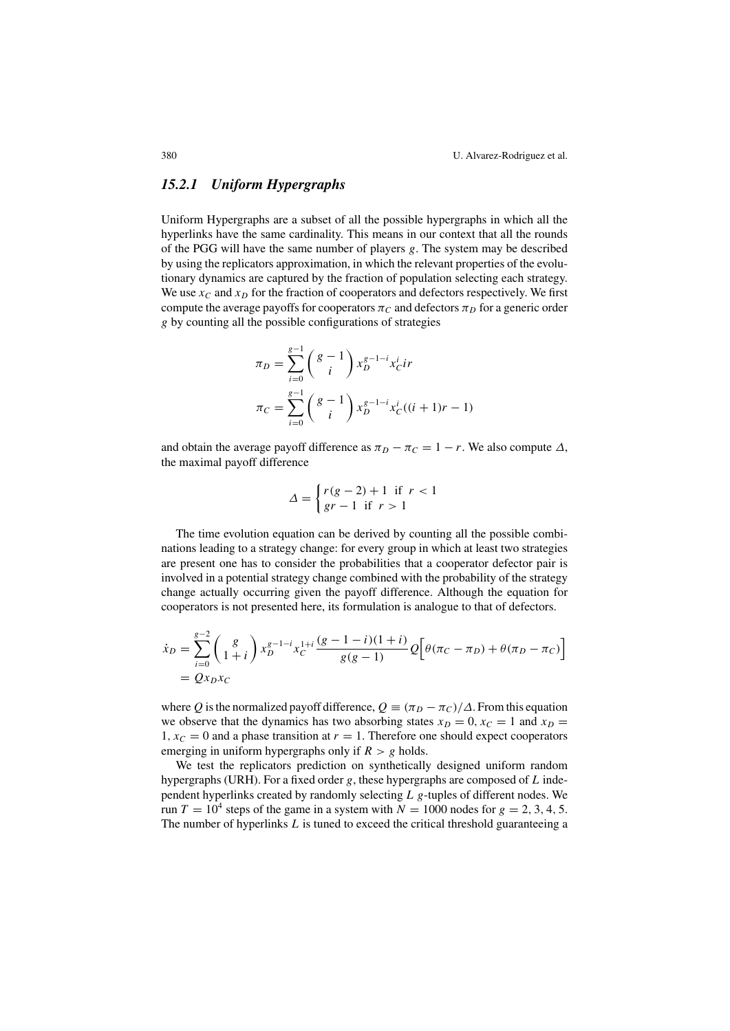380 U. Alvarez-Rodriguez et al.

## *15.2.1 Uniform Hypergraphs*

Uniform Hypergraphs are a subset of all the possible hypergraphs in which all the hyperlinks have the same cardinality. This means in our context that all the rounds of the PGG will have the same number of players *g*. The system may be described by using the replicators approximation, in which the relevant properties of the evolutionary dynamics are captured by the fraction of population selecting each strategy. We use  $x_C$  and  $x_D$  for the fraction of cooperators and defectors respectively. We first compute the average payoffs for cooperators  $\pi_C$  and defectors  $\pi_D$  for a generic order *g* by counting all the possible configurations of strategies

$$
\pi_D = \sum_{i=0}^{g-1} {g-1 \choose i} x_D^{g-1-i} x_C^i i^r
$$

$$
\pi_C = \sum_{i=0}^{g-1} {g-1 \choose i} x_D^{g-1-i} x_C^i ((i+1)r - 1)
$$

and obtain the average payoff difference as  $\pi_D - \pi_C = 1 - r$ . We also compute  $\Delta$ , the maximal payoff difference

$$
\Delta = \begin{cases} r(g-2) + 1 & \text{if } r < 1 \\ gr - 1 & \text{if } r > 1 \end{cases}
$$

The time evolution equation can be derived by counting all the possible combinations leading to a strategy change: for every group in which at least two strategies are present one has to consider the probabilities that a cooperator defector pair is involved in a potential strategy change combined with the probability of the strategy change actually occurring given the payoff difference. Although the equation for cooperators is not presented here, its formulation is analogue to that of defectors.

$$
\dot{x}_D = \sum_{i=0}^{g-2} \binom{g}{1+i} x_D^{g-1-i} x_C^{1+i} \frac{(g-1-i)(1+i)}{g(g-1)} Q \left[ \theta(\pi_C - \pi_D) + \theta(\pi_D - \pi_C) \right]
$$
  
=  $Qx_D x_C$ 

where *Q* is the normalized payoff difference,  $Q = (\pi_D - \pi_C)/\Delta$ . From this equation we observe that the dynamics has two absorbing states  $x_D = 0, x_C = 1$  and  $x_D = 0$ 1,  $x_c = 0$  and a phase transition at  $r = 1$ . Therefore one should expect cooperators emerging in uniform hypergraphs only if  $R > g$  holds.

We test the replicators prediction on synthetically designed uniform random hypergraphs (URH). For a fixed order *g*, these hypergraphs are composed of *L* independent hyperlinks created by randomly selecting *L g*-tuples of different nodes. We run  $T = 10^4$  steps of the game in a system with  $N = 1000$  nodes for  $g = 2, 3, 4, 5$ . The number of hyperlinks *L* is tuned to exceed the critical threshold guaranteeing a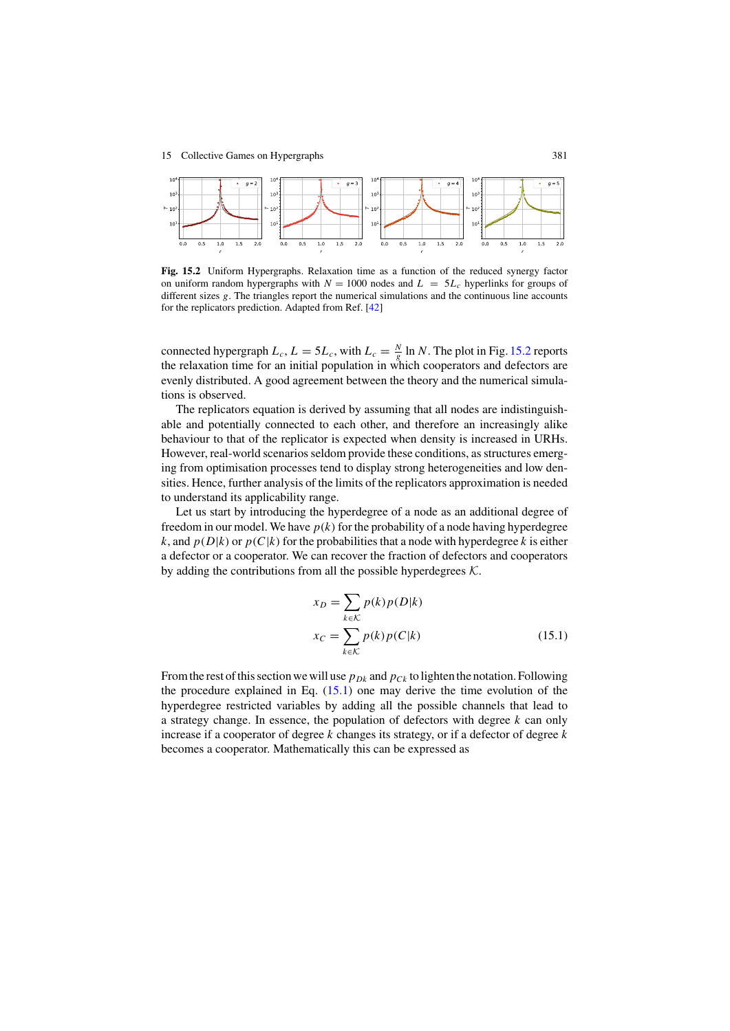

Fig. 15.2 Uniform Hypergraphs. Relaxation time as a function of the reduced synergy factor on uniform random hypergraphs with  $N = 1000$  nodes and  $L = 5L_c$  hyperlinks for groups of different sizes *g*. The triangles report the numerical simulations and the continuous line accounts for the replicators prediction. Adapted from Ref. [42]

connected hypergraph  $L_c$ ,  $L = 5L_c$ , with  $L_c = \frac{N}{g} \ln N$ . The plot in Fig. 15.2 reports the relaxation time for an initial population in which cooperators and defectors are evenly distributed. A good agreement between the theory and the numerical simulations is observed.

The replicators equation is derived by assuming that all nodes are indistinguishable and potentially connected to each other, and therefore an increasingly alike behaviour to that of the replicator is expected when density is increased in URHs. However, real-world scenarios seldom provide these conditions, as structures emerging from optimisation processes tend to display strong heterogeneities and low densities. Hence, further analysis of the limits of the replicators approximation is needed to understand its applicability range.

Let us start by introducing the hyperdegree of a node as an additional degree of freedom in our model. We have  $p(k)$  for the probability of a node having hyperdegree *k*, and  $p(D|k)$  or  $p(C|k)$  for the probabilities that a node with hyperdegree *k* is either a defector or a cooperator. We can recover the fraction of defectors and cooperators by adding the contributions from all the possible hyperdegrees  $K$ .

$$
x_D = \sum_{k \in \mathcal{K}} p(k) p(D|k)
$$
  

$$
x_C = \sum_{k \in \mathcal{K}} p(k) p(C|k)
$$
 (15.1)

From the rest of this section we will use  $p_{Dk}$  and  $p_{Ck}$  to lighten the notation. Following the procedure explained in Eq.  $(15.1)$  one may derive the time evolution of the hyperdegree restricted variables by adding all the possible channels that lead to a strategy change. In essence, the population of defectors with degree *k* can only increase if a cooperator of degree *k* changes its strategy, or if a defector of degree *k* becomes a cooperator. Mathematically this can be expressed as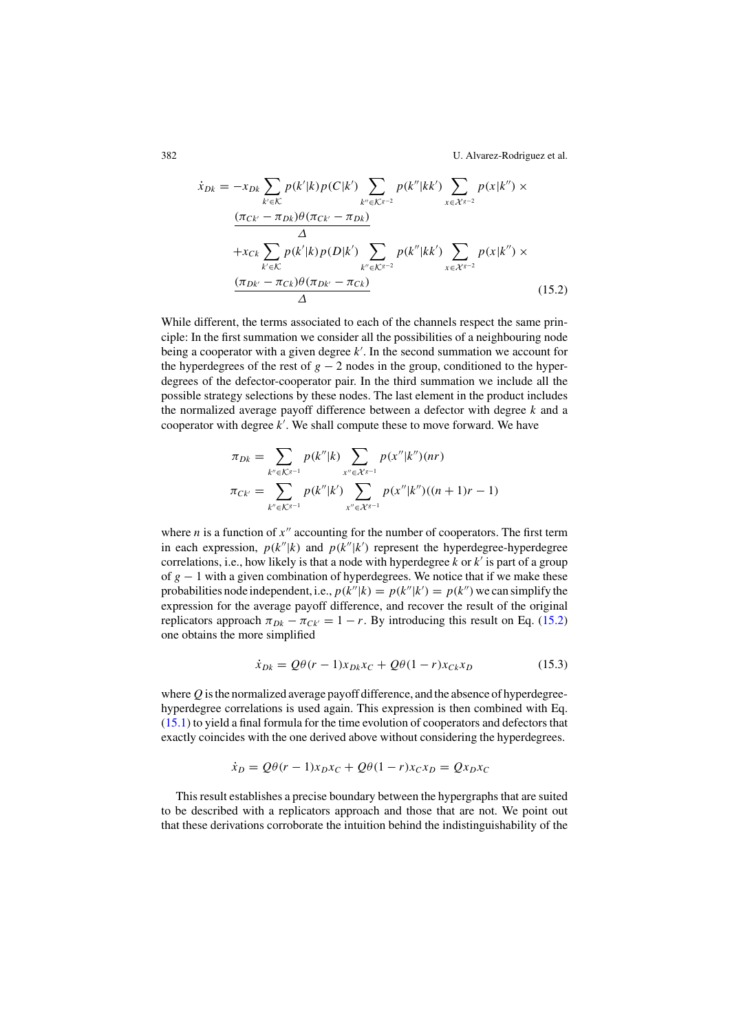382 U. Alvarez-Rodriguez et al.

$$
\dot{x}_{Dk} = -x_{Dk} \sum_{k' \in \mathcal{K}} p(k'|k) p(C|k') \sum_{k'' \in \mathcal{K}^{g-2}} p(k''|kk') \sum_{x \in \mathcal{X}^{g-2}} p(x|k'') \times \frac{(\pi_{CK} - \pi_{Dk}) \theta(\pi_{CK'} - \pi_{Dk})}{\Delta} + x_{Ck} \sum_{k' \in \mathcal{K}} p(k'|k) p(D|k') \sum_{k'' \in \mathcal{K}^{g-2}} p(k''|kk') \sum_{x \in \mathcal{X}^{g-2}} p(x|k'') \times \frac{(\pi_{Dk'} - \pi_{Ck}) \theta(\pi_{Dk'} - \pi_{Ck})}{\Delta} \tag{15.2}
$$

While different, the terms associated to each of the channels respect the same principle: In the first summation we consider all the possibilities of a neighbouring node being a cooperator with a given degree *k* . In the second summation we account for the hyperdegrees of the rest of  $g - 2$  nodes in the group, conditioned to the hyperdegrees of the defector-cooperator pair. In the third summation we include all the possible strategy selections by these nodes. The last element in the product includes the normalized average payoff difference between a defector with degree *k* and a cooperator with degree *k* . We shall compute these to move forward. We have

$$
\pi_{Dk} = \sum_{k'' \in K^{g-1}} p(k''|k) \sum_{x'' \in \mathcal{X}^{g-1}} p(x''|k'')(nr)
$$

$$
\pi_{Ck'} = \sum_{k'' \in K^{g-1}} p(k''|k') \sum_{x'' \in \mathcal{X}^{g-1}} p(x''|k'')((n+1)r-1)
$$

where *n* is a function of  $x''$  accounting for the number of cooperators. The first term in each expression,  $p(k''|k)$  and  $p(k''|k')$  represent the hyperdegree-hyperdegree correlations, i.e., how likely is that a node with hyperdegree  $k$  or  $k'$  is part of a group of *g* − 1 with a given combination of hyperdegrees. We notice that if we make these probabilities node independent, i.e.,  $p(k''|k) = p(k''|k') = p(k'')$  we can simplify the expression for the average payoff difference, and recover the result of the original replicators approach  $\pi_{Dk} - \pi_{Ck'} = 1 - r$ . By introducing this result on Eq. (15.2) one obtains the more simplified

$$
\dot{x}_{Dk} = Q\theta(r-1)x_{Dk}x_C + Q\theta(1-r)x_{Ck}x_D \tag{15.3}
$$

where *Q* is the normalized average payoff difference, and the absence of hyperdegreehyperdegree correlations is used again. This expression is then combined with Eq. (15.1) to yield a final formula for the time evolution of cooperators and defectors that exactly coincides with the one derived above without considering the hyperdegrees.

$$
\dot{x}_D = Q\theta(r-1)x_Dx_C + Q\theta(1-r)x_Cx_D = Qx_Dx_C
$$

This result establishes a precise boundary between the hypergraphs that are suited to be described with a replicators approach and those that are not. We point out that these derivations corroborate the intuition behind the indistinguishability of the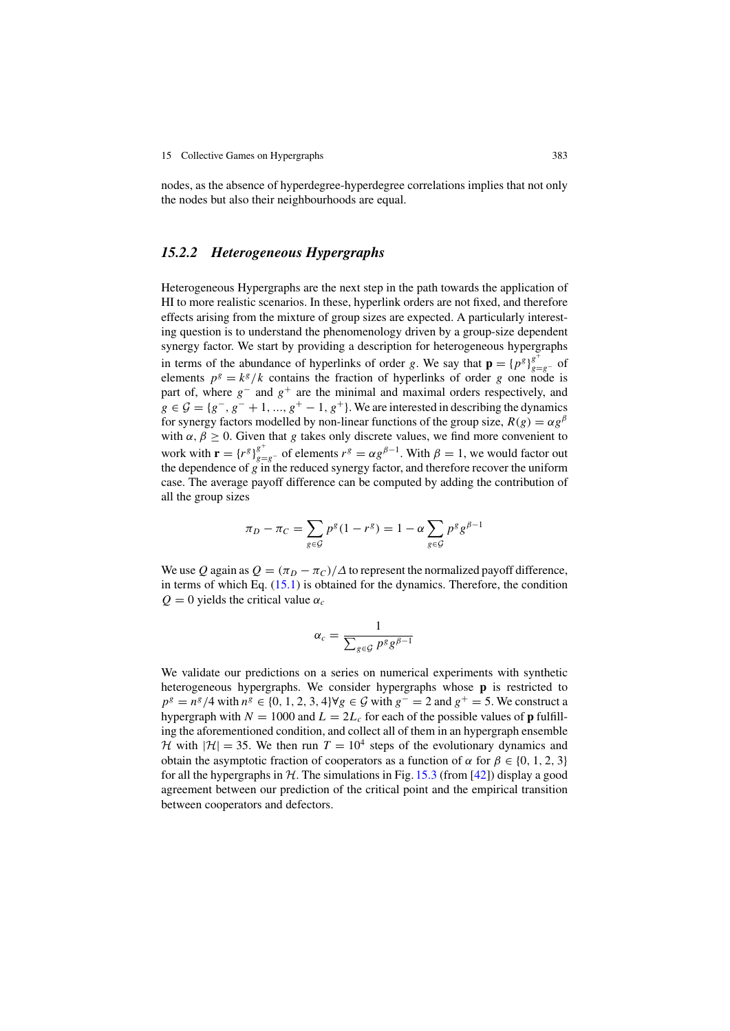nodes, as the absence of hyperdegree-hyperdegree correlations implies that not only the nodes but also their neighbourhoods are equal.

### *15.2.2 Heterogeneous Hypergraphs*

Heterogeneous Hypergraphs are the next step in the path towards the application of HI to more realistic scenarios. In these, hyperlink orders are not fixed, and therefore effects arising from the mixture of group sizes are expected. A particularly interesting question is to understand the phenomenology driven by a group-size dependent synergy factor. We start by providing a description for heterogeneous hypergraphs in terms of the abundance of hyperlinks of order *g*. We say that  $\mathbf{p} = {p^g}_{g=g^-}^{\ g^+}$  of elements  $p^g = k^g/k$  contains the fraction of hyperlinks of order *g* one node is part of, where *g*<sup>−</sup> and *g*<sup>+</sup> are the minimal and maximal orders respectively, and  $g \in \mathcal{G} = \{g^-, g^- + 1, ..., g^+ - 1, g^+\}$ . We are interested in describing the dynamics for synergy factors modelled by non-linear functions of the group size,  $R(g) = \alpha g^{\beta}$ with  $\alpha$ ,  $\beta \ge 0$ . Given that *g* takes only discrete values, we find more convenient to work with  $\mathbf{r} = {r^g}_{g=g^-}$  of elements  $r^g = \alpha g^{\beta-1}$ . With  $\beta = 1$ , we would factor out the dependence of *g* in the reduced synergy factor, and therefore recover the uniform case. The average payoff difference can be computed by adding the contribution of all the group sizes

$$
\pi_D - \pi_C = \sum_{g \in \mathcal{G}} p^g (1 - r^g) = 1 - \alpha \sum_{g \in \mathcal{G}} p^g g^{\beta - 1}
$$

We use Q again as  $Q = (\pi_D - \pi_C)/\Delta$  to represent the normalized payoff difference, in terms of which Eq.  $(15.1)$  is obtained for the dynamics. Therefore, the condition  $Q = 0$  yields the critical value  $\alpha_c$ 

$$
\alpha_c = \frac{1}{\sum_{g \in \mathcal{G}} p^g g^{\beta - 1}}
$$

We validate our predictions on a series on numerical experiments with synthetic heterogeneous hypergraphs. We consider hypergraphs whose p is restricted to *p*<sup>*g*</sup> =  $n^g / 4$  with  $n^g \in \{0, 1, 2, 3, 4\}$ ∀*g* ∈ *G* with  $g^- = 2$  and  $g^+ = 5$ . We construct a hypergraph with  $N = 1000$  and  $L = 2L_c$  for each of the possible values of **p** fulfilling the aforementioned condition, and collect all of them in an hypergraph ensemble H with  $|\mathcal{H}| = 35$ . We then run  $T = 10^4$  steps of the evolutionary dynamics and obtain the asymptotic fraction of cooperators as a function of  $\alpha$  for  $\beta \in \{0, 1, 2, 3\}$ for all the hypergraphs in  $H$ . The simulations in Fig. 15.3 (from [42]) display a good agreement between our prediction of the critical point and the empirical transition between cooperators and defectors.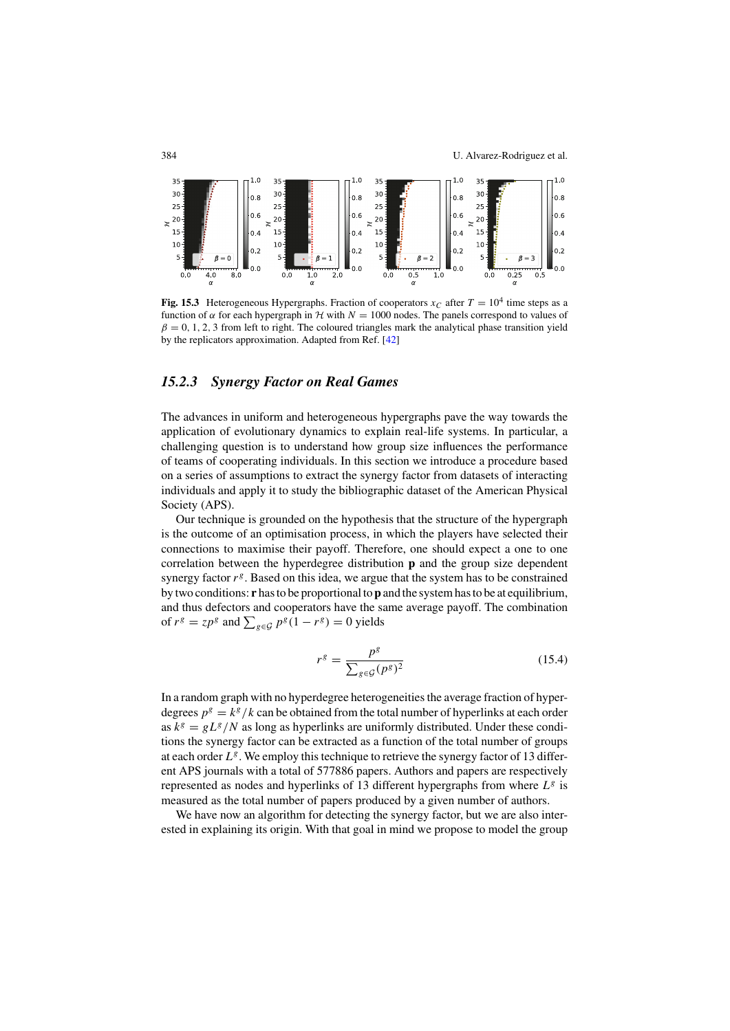

Fig. 15.3 Heterogeneous Hypergraphs. Fraction of cooperators  $x_C$  after  $T = 10^4$  time steps as a function of  $\alpha$  for each hypergraph in  $\mathcal H$  with  $N = 1000$  nodes. The panels correspond to values of  $\beta = 0, 1, 2, 3$  from left to right. The coloured triangles mark the analytical phase transition yield by the replicators approximation. Adapted from Ref. [42]

# *15.2.3 Synergy Factor on Real Games*

The advances in uniform and heterogeneous hypergraphs pave the way towards the application of evolutionary dynamics to explain real-life systems. In particular, a challenging question is to understand how group size influences the performance of teams of cooperating individuals. In this section we introduce a procedure based on a series of assumptions to extract the synergy factor from datasets of interacting individuals and apply it to study the bibliographic dataset of the American Physical Society (APS).

Our technique is grounded on the hypothesis that the structure of the hypergraph is the outcome of an optimisation process, in which the players have selected their connections to maximise their payoff. Therefore, one should expect a one to one correlation between the hyperdegree distribution p and the group size dependent synergy factor  $r^g$ . Based on this idea, we argue that the system has to be constrained by two conditions:  $\mathbf r$  has to be proportional to  $\mathbf p$  and the system has to be at equilibrium, and thus defectors and cooperators have the same average payoff. The combination of  $r^g = zp^g$  and  $\sum_{g \in \mathcal{G}} p^g (1 - r^g) = 0$  yields

$$
r^g = \frac{p^g}{\sum_{g \in \mathcal{G}} (p^g)^2} \tag{15.4}
$$

In a random graph with no hyperdegree heterogeneities the average fraction of hyperdegrees  $p^g = k^g / k$  can be obtained from the total number of hyperlinks at each order as  $k^g = gL^g/N$  as long as hyperlinks are uniformly distributed. Under these conditions the synergy factor can be extracted as a function of the total number of groups at each order  $L^g$ . We employ this technique to retrieve the synergy factor of 13 different APS journals with a total of 577886 papers. Authors and papers are respectively represented as nodes and hyperlinks of 13 different hypergraphs from where *L<sup>g</sup>* is measured as the total number of papers produced by a given number of authors.

We have now an algorithm for detecting the synergy factor, but we are also interested in explaining its origin. With that goal in mind we propose to model the group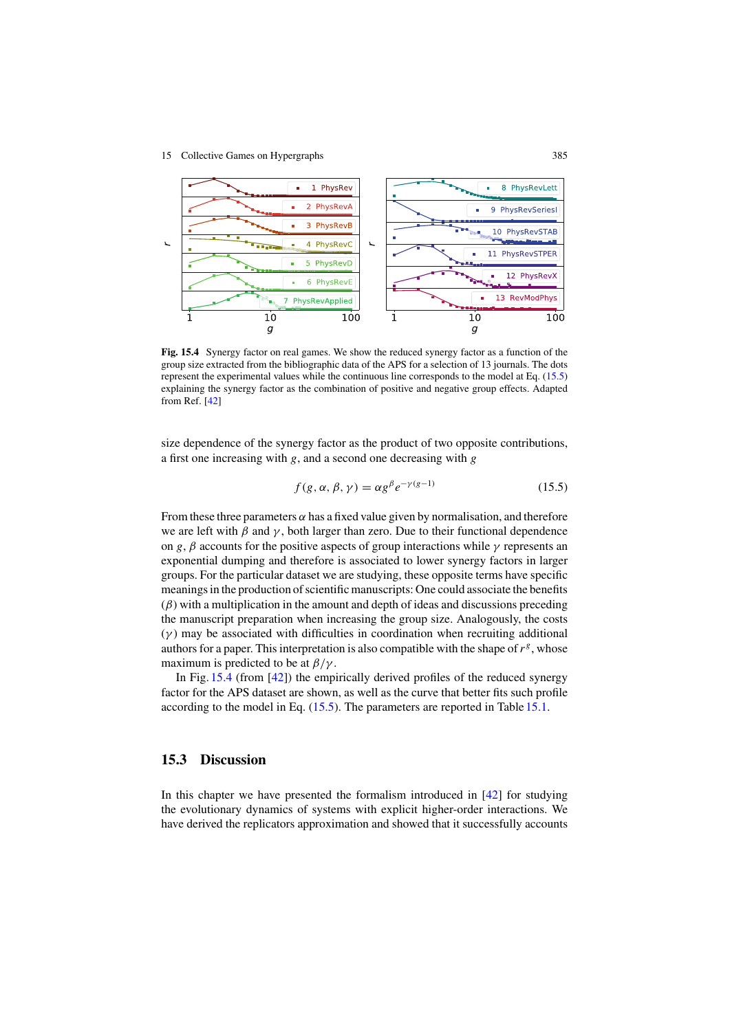#### 15 Collective Games on Hypergraphs 385



Fig. 15.4 Synergy factor on real games. We show the reduced synergy factor as a function of the group size extracted from the bibliographic data of the APS for a selection of 13 journals. The dots represent the experimental values while the continuous line corresponds to the model at Eq. (15.5) explaining the synergy factor as the combination of positive and negative group effects. Adapted from Ref. [42]

size dependence of the synergy factor as the product of two opposite contributions, a first one increasing with *g*, and a second one decreasing with *g*

$$
f(g, \alpha, \beta, \gamma) = \alpha g^{\beta} e^{-\gamma(g-1)}
$$
 (15.5)

From these three parameters  $\alpha$  has a fixed value given by normalisation, and therefore we are left with  $\beta$  and  $\gamma$ , both larger than zero. Due to their functional dependence on *g*,  $\beta$  accounts for the positive aspects of group interactions while  $\gamma$  represents an exponential dumping and therefore is associated to lower synergy factors in larger groups. For the particular dataset we are studying, these opposite terms have specific meanings in the production of scientific manuscripts: One could associate the benefits  $(\beta)$  with a multiplication in the amount and depth of ideas and discussions preceding the manuscript preparation when increasing the group size. Analogously, the costs  $(\gamma)$  may be associated with difficulties in coordination when recruiting additional authors for a paper. This interpretation is also compatible with the shape of  $r<sup>g</sup>$ , whose maximum is predicted to be at  $\beta/\gamma$ .

In Fig. 15.4 (from [42]) the empirically derived profiles of the reduced synergy factor for the APS dataset are shown, as well as the curve that better fits such profile according to the model in Eq. (15.5). The parameters are reported in Table 15.1.

## 15.3 Discussion

In this chapter we have presented the formalism introduced in  $[42]$  for studying the evolutionary dynamics of systems with explicit higher-order interactions. We have derived the replicators approximation and showed that it successfully accounts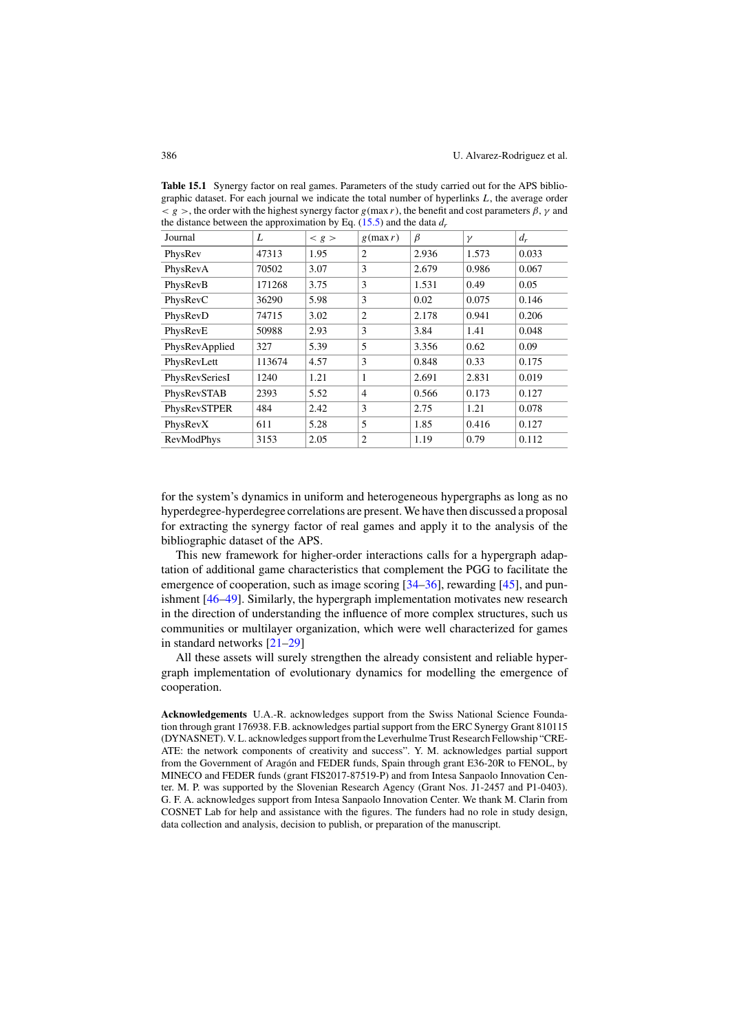| Journal        | L      | < g > | $g$ (max r)    | β     | $\gamma$ | $d_r$ |
|----------------|--------|-------|----------------|-------|----------|-------|
| PhysRev        | 47313  | 1.95  | $\overline{c}$ | 2.936 | 1.573    | 0.033 |
| PhysRevA       | 70502  | 3.07  | 3              | 2.679 | 0.986    | 0.067 |
| PhysRevB       | 171268 | 3.75  | 3              | 1.531 | 0.49     | 0.05  |
| PhysRevC       | 36290  | 5.98  | 3              | 0.02  | 0.075    | 0.146 |
| PhysRevD       | 74715  | 3.02  | $\overline{c}$ | 2.178 | 0.941    | 0.206 |
| PhysRevE       | 50988  | 2.93  | 3              | 3.84  | 1.41     | 0.048 |
| PhysRevApplied | 327    | 5.39  | 5              | 3.356 | 0.62     | 0.09  |
| PhysRevLett    | 113674 | 4.57  | $\mathbf{3}$   | 0.848 | 0.33     | 0.175 |
| PhysRevSeriesI | 1240   | 1.21  | 1              | 2.691 | 2.831    | 0.019 |
| PhysRevSTAB    | 2393   | 5.52  | $\overline{4}$ | 0.566 | 0.173    | 0.127 |
| PhysRevSTPER   | 484    | 2.42  | 3              | 2.75  | 1.21     | 0.078 |
| PhysRevX       | 611    | 5.28  | 5              | 1.85  | 0.416    | 0.127 |
| RevModPhys     | 3153   | 2.05  | $\overline{c}$ | 1.19  | 0.79     | 0.112 |

Table 15.1 Synergy factor on real games. Parameters of the study carried out for the APS bibliographic dataset. For each journal we indicate the total number of hyperlinks *L*, the average order  $g >$ , the order with the highest synergy factor *g*(max *r*), the benefit and cost parameters  $\beta$ ,  $\gamma$  and the distance between the approximation by Eq. (15.5) and the data *dr*

for the system's dynamics in uniform and heterogeneous hypergraphs as long as no hyperdegree-hyperdegree correlations are present. We have then discussed a proposal for extracting the synergy factor of real games and apply it to the analysis of the bibliographic dataset of the APS.

This new framework for higher-order interactions calls for a hypergraph adaptation of additional game characteristics that complement the PGG to facilitate the emergence of cooperation, such as image scoring [34–36], rewarding [45], and punishment [46–49]. Similarly, the hypergraph implementation motivates new research in the direction of understanding the influence of more complex structures, such us communities or multilayer organization, which were well characterized for games in standard networks [21–29]

All these assets will surely strengthen the already consistent and reliable hypergraph implementation of evolutionary dynamics for modelling the emergence of cooperation.

Acknowledgements U.A.-R. acknowledges support from the Swiss National Science Foundation through grant 176938. F.B. acknowledges partial support from the ERC Synergy Grant 810115 (DYNASNET). V. L. acknowledges support from the Leverhulme Trust Research Fellowship "CRE-ATE: the network components of creativity and success". Y. M. acknowledges partial support from the Government of Aragón and FEDER funds, Spain through grant E36-20R to FENOL, by MINECO and FEDER funds (grant FIS2017-87519-P) and from Intesa Sanpaolo Innovation Center. M. P. was supported by the Slovenian Research Agency (Grant Nos. J1-2457 and P1-0403). G. F. A. acknowledges support from Intesa Sanpaolo Innovation Center. We thank M. Clarin from COSNET Lab for help and assistance with the figures. The funders had no role in study design, data collection and analysis, decision to publish, or preparation of the manuscript.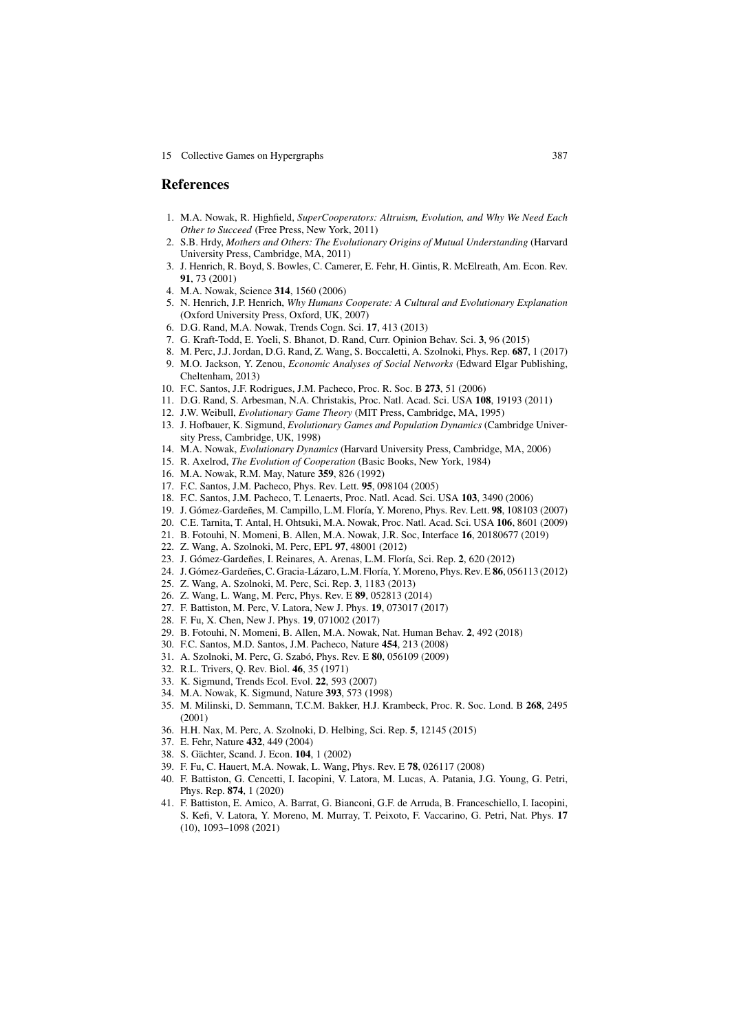15 Collective Games on Hypergraphs 387

#### References

- 1. M.A. Nowak, R. Highfield, *SuperCooperators: Altruism, Evolution, and Why We Need Each Other to Succeed* (Free Press, New York, 2011)
- 2. S.B. Hrdy, *Mothers and Others: The Evolutionary Origins of Mutual Understanding* (Harvard University Press, Cambridge, MA, 2011)
- 3. J. Henrich, R. Boyd, S. Bowles, C. Camerer, E. Fehr, H. Gintis, R. McElreath, Am. Econ. Rev. 91, 73 (2001)
- 4. M.A. Nowak, Science 314, 1560 (2006)
- 5. N. Henrich, J.P. Henrich, *Why Humans Cooperate: A Cultural and Evolutionary Explanation* (Oxford University Press, Oxford, UK, 2007)
- 6. D.G. Rand, M.A. Nowak, Trends Cogn. Sci. 17, 413 (2013)
- 7. G. Kraft-Todd, E. Yoeli, S. Bhanot, D. Rand, Curr. Opinion Behav. Sci. 3, 96 (2015)
- 8. M. Perc, J.J. Jordan, D.G. Rand, Z. Wang, S. Boccaletti, A. Szolnoki, Phys. Rep. 687, 1 (2017) 9. M.O. Jackson, Y. Zenou, *Economic Analyses of Social Networks* (Edward Elgar Publishing, Cheltenham, 2013)
- 10. F.C. Santos, J.F. Rodrigues, J.M. Pacheco, Proc. R. Soc. B 273, 51 (2006)
- 11. D.G. Rand, S. Arbesman, N.A. Christakis, Proc. Natl. Acad. Sci. USA 108, 19193 (2011)
- 12. J.W. Weibull, *Evolutionary Game Theory* (MIT Press, Cambridge, MA, 1995)
- 13. J. Hofbauer, K. Sigmund, *Evolutionary Games and Population Dynamics* (Cambridge University Press, Cambridge, UK, 1998)
- 14. M.A. Nowak, *Evolutionary Dynamics* (Harvard University Press, Cambridge, MA, 2006)
- 15. R. Axelrod, *The Evolution of Cooperation* (Basic Books, New York, 1984)
- 16. M.A. Nowak, R.M. May, Nature 359, 826 (1992)
- 17. F.C. Santos, J.M. Pacheco, Phys. Rev. Lett. 95, 098104 (2005)
- 18. F.C. Santos, J.M. Pacheco, T. Lenaerts, Proc. Natl. Acad. Sci. USA 103, 3490 (2006)
- 19. J. Gómez-Gardeñes, M. Campillo, L.M. Floría, Y. Moreno, Phys. Rev. Lett. 98, 108103 (2007)
- 20. C.E. Tarnita, T. Antal, H. Ohtsuki, M.A. Nowak, Proc. Natl. Acad. Sci. USA 106, 8601 (2009)
- 21. B. Fotouhi, N. Momeni, B. Allen, M.A. Nowak, J.R. Soc, Interface 16, 20180677 (2019)
- 22. Z. Wang, A. Szolnoki, M. Perc, EPL 97, 48001 (2012)
- 23. J. Gómez-Gardeñes, I. Reinares, A. Arenas, L.M. Floría, Sci. Rep. 2, 620 (2012)
- 24. J. Gómez-Gardeñes, C. Gracia-Lázaro, L.M. Floría, Y. Moreno, Phys. Rev. E 86, 056113 (2012)
- 25. Z. Wang, A. Szolnoki, M. Perc, Sci. Rep. 3, 1183 (2013)
- 26. Z. Wang, L. Wang, M. Perc, Phys. Rev. E 89, 052813 (2014)
- 27. F. Battiston, M. Perc, V. Latora, New J. Phys. 19, 073017 (2017)
- 28. F. Fu, X. Chen, New J. Phys. 19, 071002 (2017)
- 29. B. Fotouhi, N. Momeni, B. Allen, M.A. Nowak, Nat. Human Behav. 2, 492 (2018)
- 30. F.C. Santos, M.D. Santos, J.M. Pacheco, Nature 454, 213 (2008)
- 31. A. Szolnoki, M. Perc, G. Szabó, Phys. Rev. E 80, 056109 (2009)
- 32. R.L. Trivers, Q. Rev. Biol. 46, 35 (1971)
- 33. K. Sigmund, Trends Ecol. Evol. 22, 593 (2007)
- 34. M.A. Nowak, K. Sigmund, Nature 393, 573 (1998)
- 35. M. Milinski, D. Semmann, T.C.M. Bakker, H.J. Krambeck, Proc. R. Soc. Lond. B 268, 2495 (2001)
- 36. H.H. Nax, M. Perc, A. Szolnoki, D. Helbing, Sci. Rep. 5, 12145 (2015)
- 37. E. Fehr, Nature 432, 449 (2004)
- 38. S. Gächter, Scand. J. Econ. 104, 1 (2002)
- 39. F. Fu, C. Hauert, M.A. Nowak, L. Wang, Phys. Rev. E 78, 026117 (2008)
- 40. F. Battiston, G. Cencetti, I. Iacopini, V. Latora, M. Lucas, A. Patania, J.G. Young, G. Petri, Phys. Rep. 874, 1 (2020)
- 41. F. Battiston, E. Amico, A. Barrat, G. Bianconi, G.F. de Arruda, B. Franceschiello, I. Iacopini, S. Kefi, V. Latora, Y. Moreno, M. Murray, T. Peixoto, F. Vaccarino, G. Petri, Nat. Phys. 17 (10), 1093–1098 (2021)